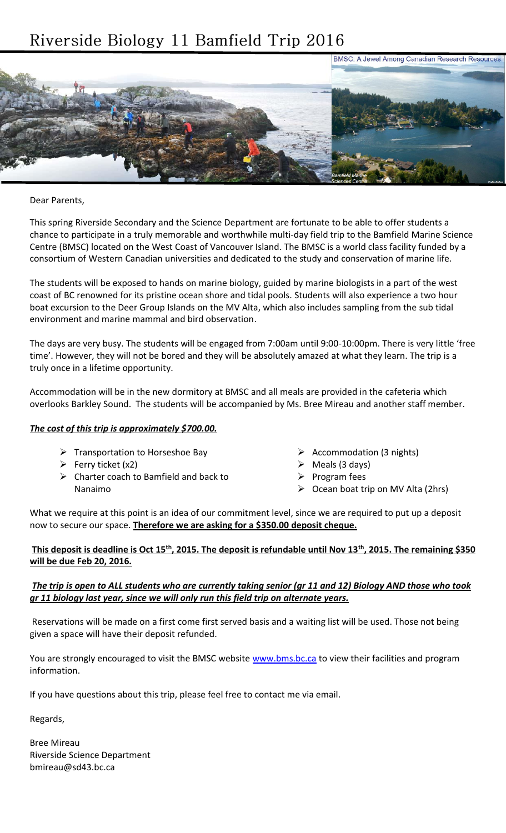# Riverside Biology 11 Bamfield Trip 2016



Dear Parents,

This spring Riverside Secondary and the Science Department are fortunate to be able to offer students a chance to participate in a truly memorable and worthwhile multi-day field trip to the Bamfield Marine Science Centre (BMSC) located on the West Coast of Vancouver Island. The BMSC is a world class facility funded by a consortium of Western Canadian universities and dedicated to the study and conservation of marine life.

The students will be exposed to hands on marine biology, guided by marine biologists in a part of the west coast of BC renowned for its pristine ocean shore and tidal pools. Students will also experience a two hour boat excursion to the Deer Group Islands on the MV Alta, which also includes sampling from the sub tidal environment and marine mammal and bird observation.

The days are very busy. The students will be engaged from 7:00am until 9:00-10:00pm. There is very little 'free time'. However, they will not be bored and they will be absolutely amazed at what they learn. The trip is a truly once in a lifetime opportunity.

Accommodation will be in the new dormitory at BMSC and all meals are provided in the cafeteria which overlooks Barkley Sound. The students will be accompanied by Ms. Bree Mireau and another staff member.

#### *The cost of this trip is approximately \$700.00.*

- $\triangleright$  Transportation to Horseshoe Bay
- $\triangleright$  Ferry ticket (x2)
- $\triangleright$  Charter coach to Bamfield and back to Nanaimo
- $\triangleright$  Accommodation (3 nights)
- $\triangleright$  Meals (3 days)
- Program fees
- $\triangleright$  Ocean boat trip on MV Alta (2hrs)

What we require at this point is an idea of our commitment level, since we are required to put up a deposit now to secure our space. **Therefore we are asking for a \$350.00 deposit cheque.**

#### **This deposit is deadline is Oct 15th, 2015. The deposit is refundable until Nov 13th, 2015. The remaining \$350 will be due Feb 20, 2016.**

# *The trip is open to ALL students who are currently taking senior (gr 11 and 12) Biology AND those who took gr 11 biology last year, since we will only run this field trip on alternate years.*

Reservations will be made on a first come first served basis and a waiting list will be used. Those not being given a space will have their deposit refunded.

You are strongly encouraged to visit the BMSC website [www.bms.bc.ca](http://www.bms.bc.ca/) to view their facilities and program information.

If you have questions about this trip, please feel free to contact me via email.

Regards,

Bree Mireau Riverside Science Department bmireau@sd43.bc.ca